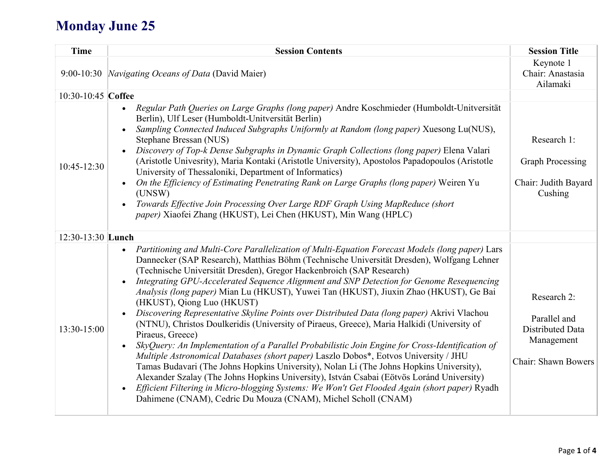## **Monday June 25**

| <b>Time</b>        | <b>Session Contents</b>                                                                                                                                                                                                                                                                                                                                                                                                                                                                                                                                                                                                                                                                                                                                                                                                                                                                                                                                                                                                                                                                                                                                                                                                                                                                 | <b>Session Title</b>                                                                 |
|--------------------|-----------------------------------------------------------------------------------------------------------------------------------------------------------------------------------------------------------------------------------------------------------------------------------------------------------------------------------------------------------------------------------------------------------------------------------------------------------------------------------------------------------------------------------------------------------------------------------------------------------------------------------------------------------------------------------------------------------------------------------------------------------------------------------------------------------------------------------------------------------------------------------------------------------------------------------------------------------------------------------------------------------------------------------------------------------------------------------------------------------------------------------------------------------------------------------------------------------------------------------------------------------------------------------------|--------------------------------------------------------------------------------------|
|                    | 9:00-10:30 <i>Navigating Oceans of Data</i> (David Maier)                                                                                                                                                                                                                                                                                                                                                                                                                                                                                                                                                                                                                                                                                                                                                                                                                                                                                                                                                                                                                                                                                                                                                                                                                               | Keynote 1<br>Chair: Anastasia<br>Ailamaki                                            |
| 10:30-10:45 Coffee |                                                                                                                                                                                                                                                                                                                                                                                                                                                                                                                                                                                                                                                                                                                                                                                                                                                                                                                                                                                                                                                                                                                                                                                                                                                                                         |                                                                                      |
| $10:45 - 12:30$    | Regular Path Queries on Large Graphs (long paper) Andre Koschmieder (Humboldt-Unitversität<br>Berlin), Ulf Leser (Humboldt-Unitversität Berlin)<br>Sampling Connected Induced Subgraphs Uniformly at Random (long paper) Xuesong Lu(NUS),<br>Stephane Bressan (NUS)<br>Discovery of Top-k Dense Subgraphs in Dynamic Graph Collections (long paper) Elena Valari<br>$\bullet$<br>(Aristotle Univesrity), Maria Kontaki (Aristotle University), Apostolos Papadopoulos (Aristotle<br>University of Thessaloniki, Department of Informatics)<br>On the Efficiency of Estimating Penetrating Rank on Large Graphs (long paper) Weiren Yu<br>(UNSW)<br>Towards Effective Join Processing Over Large RDF Graph Using MapReduce (short<br>paper) Xiaofei Zhang (HKUST), Lei Chen (HKUST), Min Wang (HPLC)                                                                                                                                                                                                                                                                                                                                                                                                                                                                                     | Research 1:<br><b>Graph Processing</b><br>Chair: Judith Bayard<br>Cushing            |
| 12:30-13:30 Lunch  |                                                                                                                                                                                                                                                                                                                                                                                                                                                                                                                                                                                                                                                                                                                                                                                                                                                                                                                                                                                                                                                                                                                                                                                                                                                                                         |                                                                                      |
| 13:30-15:00        | Partitioning and Multi-Core Parallelization of Multi-Equation Forecast Models (long paper) Lars<br>$\bullet$<br>Dannecker (SAP Research), Matthias Böhm (Technische Universität Dresden), Wolfgang Lehner<br>(Technische Universität Dresden), Gregor Hackenbroich (SAP Research)<br>Integrating GPU-Accelerated Sequence Alignment and SNP Detection for Genome Resequencing<br>Analysis (long paper) Mian Lu (HKUST), Yuwei Tan (HKUST), Jiuxin Zhao (HKUST), Ge Bai<br>(HKUST), Qiong Luo (HKUST)<br>Discovering Representative Skyline Points over Distributed Data (long paper) Akrivi Vlachou<br>(NTNU), Christos Doulkeridis (University of Piraeus, Greece), Maria Halkidi (University of<br>Piraeus, Greece)<br>SkyQuery: An Implementation of a Parallel Probabilistic Join Engine for Cross-Identification of<br>Multiple Astronomical Databases (short paper) Laszlo Dobos*, Eotvos University / JHU<br>Tamas Budavari (The Johns Hopkins University), Nolan Li (The Johns Hopkins University),<br>Alexander Szalay (The Johns Hopkins University), István Csabai (Eötvös Loránd University)<br>Efficient Filtering in Micro-blogging Systems: We Won't Get Flooded Again (short paper) Ryadh<br>$\bullet$<br>Dahimene (CNAM), Cedric Du Mouza (CNAM), Michel Scholl (CNAM) | Research 2:<br>Parallel and<br>Distributed Data<br>Management<br>Chair: Shawn Bowers |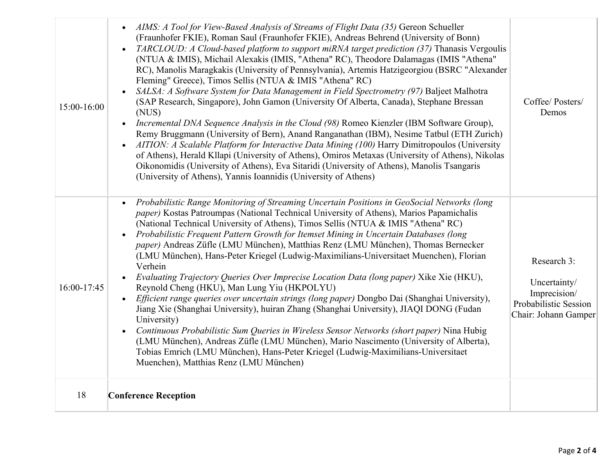| 15:00-16:00 | AIMS: A Tool for View-Based Analysis of Streams of Flight Data (35) Gereon Schueller<br>(Fraunhofer FKIE), Roman Saul (Fraunhofer FKIE), Andreas Behrend (University of Bonn)<br>TARCLOUD: A Cloud-based platform to support miRNA target prediction (37) Thanasis Vergoulis<br>(NTUA & IMIS), Michail Alexakis (IMIS, "Athena" RC), Theodore Dalamagas (IMIS "Athena"<br>RC), Manolis Maragkakis (University of Pennsylvania), Artemis Hatzigeorgiou (BSRC "Alexander<br>Fleming" Greece), Timos Sellis (NTUA & IMIS "Athena" RC)<br>SALSA: A Software System for Data Management in Field Spectrometry (97) Baljeet Malhotra<br>(SAP Research, Singapore), John Gamon (University Of Alberta, Canada), Stephane Bressan<br>(NUS)<br>Incremental DNA Sequence Analysis in the Cloud (98) Romeo Kienzler (IBM Software Group),<br>$\bullet$<br>Remy Bruggmann (University of Bern), Anand Ranganathan (IBM), Nesime Tatbul (ETH Zurich)<br>AITION: A Scalable Platform for Interactive Data Mining (100) Harry Dimitropoulos (University<br>$\bullet$<br>of Athens), Herald Kllapi (University of Athens), Omiros Metaxas (University of Athens), Nikolas<br>Oikonomidis (University of Athens), Eva Sitaridi (University of Athens), Manolis Tsangaris<br>(University of Athens), Yannis Ioannidis (University of Athens) | Coffee/ Posters/<br>Demos                                                                    |
|-------------|----------------------------------------------------------------------------------------------------------------------------------------------------------------------------------------------------------------------------------------------------------------------------------------------------------------------------------------------------------------------------------------------------------------------------------------------------------------------------------------------------------------------------------------------------------------------------------------------------------------------------------------------------------------------------------------------------------------------------------------------------------------------------------------------------------------------------------------------------------------------------------------------------------------------------------------------------------------------------------------------------------------------------------------------------------------------------------------------------------------------------------------------------------------------------------------------------------------------------------------------------------------------------------------------------------------------------|----------------------------------------------------------------------------------------------|
| 16:00-17:45 | Probabilistic Range Monitoring of Streaming Uncertain Positions in GeoSocial Networks (long<br>paper) Kostas Patroumpas (National Technical University of Athens), Marios Papamichalis<br>(National Technical University of Athens), Timos Sellis (NTUA & IMIS "Athena" RC)<br>Probabilistic Frequent Pattern Growth for Itemset Mining in Uncertain Databases (long<br>paper) Andreas Züfle (LMU München), Matthias Renz (LMU München), Thomas Bernecker<br>(LMU München), Hans-Peter Kriegel (Ludwig-Maximilians-Universitaet Muenchen), Florian<br>Verhein<br>Evaluating Trajectory Queries Over Imprecise Location Data (long paper) Xike Xie (HKU),<br>Reynold Cheng (HKU), Man Lung Yiu (HKPOLYU)<br>Efficient range queries over uncertain strings (long paper) Dongbo Dai (Shanghai University),<br>Jiang Xie (Shanghai University), huiran Zhang (Shanghai University), JIAQI DONG (Fudan<br>University)<br>Continuous Probabilistic Sum Queries in Wireless Sensor Networks (short paper) Nina Hubig<br>$\bullet$<br>(LMU München), Andreas Züfle (LMU München), Mario Nascimento (University of Alberta),<br>Tobias Emrich (LMU München), Hans-Peter Kriegel (Ludwig-Maximilians-Universitaet<br>Muenchen), Matthias Renz (LMU München)                                                                         | Research 3:<br>Uncertainty/<br>Imprecision/<br>Probabilistic Session<br>Chair: Johann Gamper |
| 18          | <b>Conference Reception</b>                                                                                                                                                                                                                                                                                                                                                                                                                                                                                                                                                                                                                                                                                                                                                                                                                                                                                                                                                                                                                                                                                                                                                                                                                                                                                                |                                                                                              |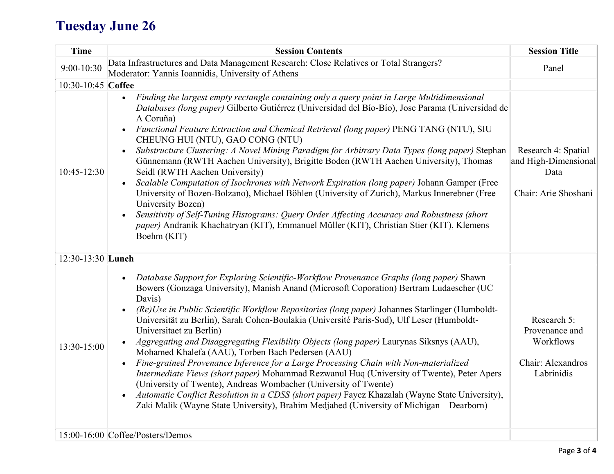## **Tuesday June 26**

| <b>Time</b>        | <b>Session Contents</b>                                                                                                                                                                                                                                                                                                                                                                                                                                                                                                                                                                                                                                                                                                                                                                                                                                                                                                                                                                                                                                               | <b>Session Title</b>                                                          |
|--------------------|-----------------------------------------------------------------------------------------------------------------------------------------------------------------------------------------------------------------------------------------------------------------------------------------------------------------------------------------------------------------------------------------------------------------------------------------------------------------------------------------------------------------------------------------------------------------------------------------------------------------------------------------------------------------------------------------------------------------------------------------------------------------------------------------------------------------------------------------------------------------------------------------------------------------------------------------------------------------------------------------------------------------------------------------------------------------------|-------------------------------------------------------------------------------|
| 9:00-10:30         | Data Infrastructures and Data Management Research: Close Relatives or Total Strangers?<br>Moderator: Yannis Ioannidis, University of Athens                                                                                                                                                                                                                                                                                                                                                                                                                                                                                                                                                                                                                                                                                                                                                                                                                                                                                                                           | Panel                                                                         |
| 10:30-10:45 Coffee |                                                                                                                                                                                                                                                                                                                                                                                                                                                                                                                                                                                                                                                                                                                                                                                                                                                                                                                                                                                                                                                                       |                                                                               |
| 10:45-12:30        | Finding the largest empty rectangle containing only a query point in Large Multidimensional<br>Databases (long paper) Gilberto Gutiérrez (Universidad del Bío-Bío), Jose Parama (Universidad de<br>A Coruña)<br>Functional Feature Extraction and Chemical Retrieval (long paper) PENG TANG (NTU), SIU<br>$\bullet$<br>CHEUNG HUI (NTU), GAO CONG (NTU)<br>Substructure Clustering: A Novel Mining Paradigm for Arbitrary Data Types (long paper) Stephan<br>$\bullet$<br>Günnemann (RWTH Aachen University), Brigitte Boden (RWTH Aachen University), Thomas<br>Seidl (RWTH Aachen University)<br>Scalable Computation of Isochrones with Network Expiration (long paper) Johann Gamper (Free<br>$\bullet$<br>University of Bozen-Bolzano), Michael Böhlen (University of Zurich), Markus Innerebner (Free<br>University Bozen)<br>Sensitivity of Self-Tuning Histograms: Query Order Affecting Accuracy and Robustness (short<br>paper) Andranik Khachatryan (KIT), Emmanuel Müller (KIT), Christian Stier (KIT), Klemens<br>Boehm (KIT)                            | Research 4: Spatial<br>and High-Dimensional<br>Data<br>Chair: Arie Shoshani   |
| 12:30-13:30 Lunch  |                                                                                                                                                                                                                                                                                                                                                                                                                                                                                                                                                                                                                                                                                                                                                                                                                                                                                                                                                                                                                                                                       |                                                                               |
| 13:30-15:00        | Database Support for Exploring Scientific-Workflow Provenance Graphs (long paper) Shawn<br>$\bullet$<br>Bowers (Gonzaga University), Manish Anand (Microsoft Coporation) Bertram Ludaescher (UC<br>Davis)<br>(Re)Use in Public Scientific Workflow Repositories (long paper) Johannes Starlinger (Humboldt-<br>Universität zu Berlin), Sarah Cohen-Boulakia (Université Paris-Sud), Ulf Leser (Humboldt-<br>Universitaet zu Berlin)<br>Aggregating and Disaggregating Flexibility Objects (long paper) Laurynas Siksnys (AAU),<br>Mohamed Khalefa (AAU), Torben Bach Pedersen (AAU)<br>Fine-grained Provenance Inference for a Large Processing Chain with Non-materialized<br>$\bullet$<br>Intermediate Views (short paper) Mohammad Rezwanul Huq (University of Twente), Peter Apers<br>(University of Twente), Andreas Wombacher (University of Twente)<br>Automatic Conflict Resolution in a CDSS (short paper) Fayez Khazalah (Wayne State University),<br>$\bullet$<br>Zaki Malik (Wayne State University), Brahim Medjahed (University of Michigan – Dearborn) | Research 5:<br>Provenance and<br>Workflows<br>Chair: Alexandros<br>Labrinidis |
|                    | $15:00-16:00$ Coffee/Posters/Demos                                                                                                                                                                                                                                                                                                                                                                                                                                                                                                                                                                                                                                                                                                                                                                                                                                                                                                                                                                                                                                    |                                                                               |